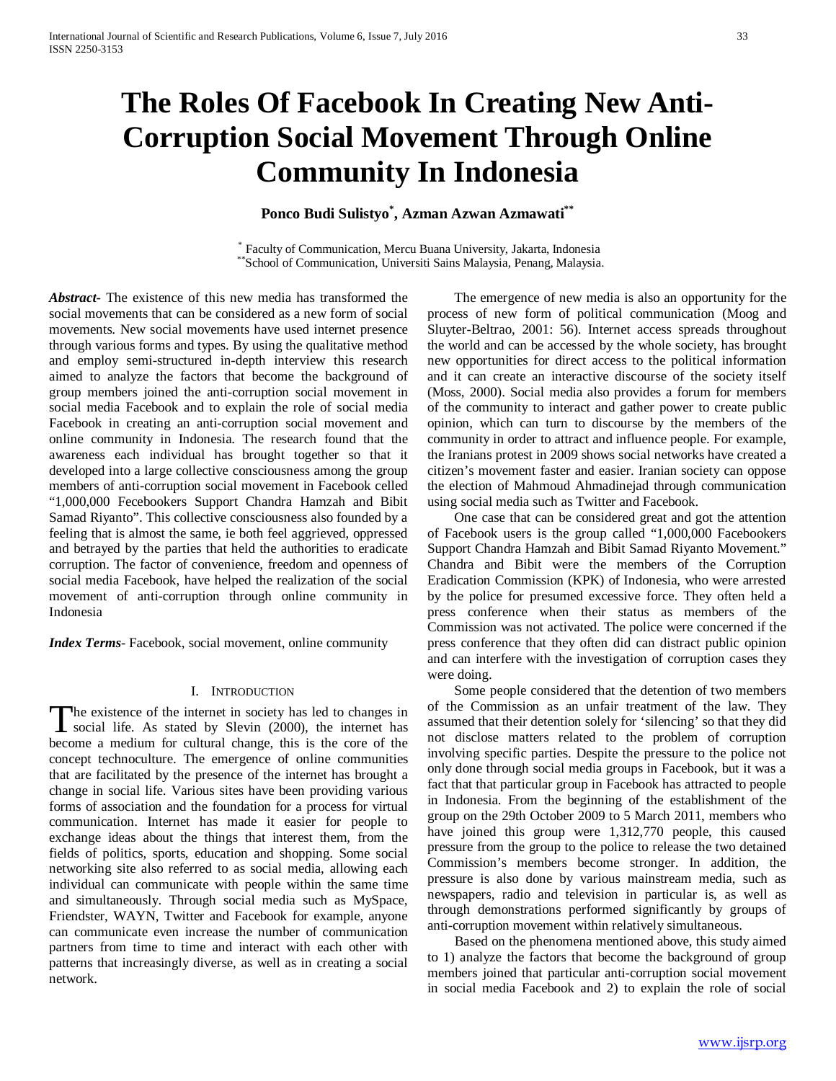# **The Roles Of Facebook In Creating New Anti-Corruption Social Movement Through Online Community In Indonesia**

## **Ponco Budi Sulistyo\* , Azman Azwan Azmawati\*\***

\* Faculty of Communication, Mercu Buana University, Jakarta, Indonesia \*\*School of Communication, Universiti Sains Malaysia, Penang, Malaysia.

*Abstract***-** The existence of this new media has transformed the social movements that can be considered as a new form of social movements. New social movements have used internet presence through various forms and types. By using the qualitative method and employ semi-structured in-depth interview this research aimed to analyze the factors that become the background of group members joined the anti-corruption social movement in social media Facebook and to explain the role of social media Facebook in creating an anti-corruption social movement and online community in Indonesia. The research found that the awareness each individual has brought together so that it developed into a large collective consciousness among the group members of anti-corruption social movement in Facebook celled "1,000,000 Fecebookers Support Chandra Hamzah and Bibit Samad Riyanto". This collective consciousness also founded by a feeling that is almost the same, ie both feel aggrieved, oppressed and betrayed by the parties that held the authorities to eradicate corruption. The factor of convenience, freedom and openness of social media Facebook, have helped the realization of the social movement of anti-corruption through online community in Indonesia

*Index Terms*- Facebook, social movement, online community

#### I. INTRODUCTION

he existence of the internet in society has led to changes in The existence of the internet in society has led to changes in social life. As stated by Slevin (2000), the internet has become a medium for cultural change, this is the core of the concept technoculture. The emergence of online communities that are facilitated by the presence of the internet has brought a change in social life. Various sites have been providing various forms of association and the foundation for a process for virtual communication. Internet has made it easier for people to exchange ideas about the things that interest them, from the fields of politics, sports, education and shopping. Some social networking site also referred to as social media, allowing each individual can communicate with people within the same time and simultaneously. Through social media such as MySpace, Friendster, WAYN, Twitter and Facebook for example, anyone can communicate even increase the number of communication partners from time to time and interact with each other with patterns that increasingly diverse, as well as in creating a social network.

 The emergence of new media is also an opportunity for the process of new form of political communication (Moog and Sluyter-Beltrao, 2001: 56). Internet access spreads throughout the world and can be accessed by the whole society, has brought new opportunities for direct access to the political information and it can create an interactive discourse of the society itself (Moss, 2000). Social media also provides a forum for members of the community to interact and gather power to create public opinion, which can turn to discourse by the members of the community in order to attract and influence people. For example, the Iranians protest in 2009 shows social networks have created a citizen's movement faster and easier. Iranian society can oppose the election of Mahmoud Ahmadinejad through communication using social media such as Twitter and Facebook.

 One case that can be considered great and got the attention of Facebook users is the group called "1,000,000 Facebookers Support Chandra Hamzah and Bibit Samad Riyanto Movement." Chandra and Bibit were the members of the Corruption Eradication Commission (KPK) of Indonesia, who were arrested by the police for presumed excessive force. They often held a press conference when their status as members of the Commission was not activated. The police were concerned if the press conference that they often did can distract public opinion and can interfere with the investigation of corruption cases they were doing.

 Some people considered that the detention of two members of the Commission as an unfair treatment of the law. They assumed that their detention solely for 'silencing' so that they did not disclose matters related to the problem of corruption involving specific parties. Despite the pressure to the police not only done through social media groups in Facebook, but it was a fact that that particular group in Facebook has attracted to people in Indonesia. From the beginning of the establishment of the group on the 29th October 2009 to 5 March 2011, members who have joined this group were 1,312,770 people, this caused pressure from the group to the police to release the two detained Commission's members become stronger. In addition, the pressure is also done by various mainstream media, such as newspapers, radio and television in particular is, as well as through demonstrations performed significantly by groups of anti-corruption movement within relatively simultaneous.

 Based on the phenomena mentioned above, this study aimed to 1) analyze the factors that become the background of group members joined that particular anti-corruption social movement in social media Facebook and 2) to explain the role of social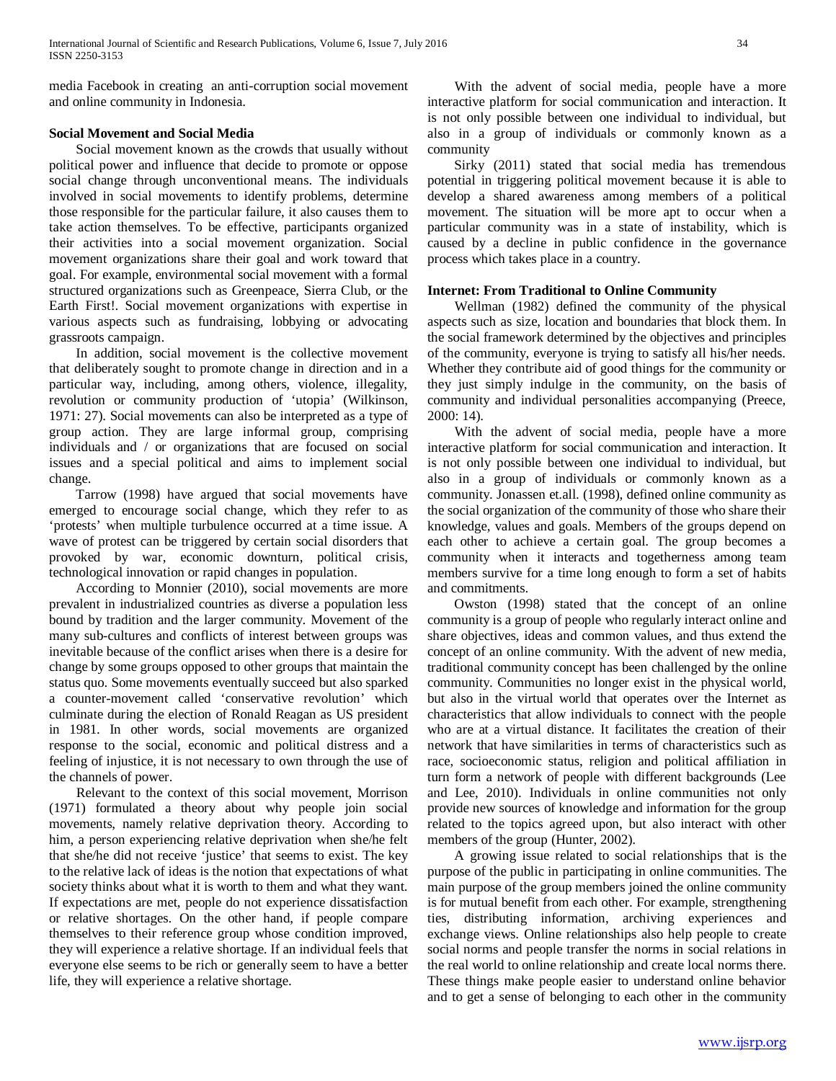media Facebook in creating an anti-corruption social movement and online community in Indonesia.

### **Social Movement and Social Media**

 Social movement known as the crowds that usually without political power and influence that decide to promote or oppose social change through unconventional means. The individuals involved in social movements to identify problems, determine those responsible for the particular failure, it also causes them to take action themselves. To be effective, participants organized their activities into a social movement organization. Social movement organizations share their goal and work toward that goal. For example, environmental social movement with a formal structured organizations such as Greenpeace, Sierra Club, or the Earth First!. Social movement organizations with expertise in various aspects such as fundraising, lobbying or advocating grassroots campaign.

 In addition, social movement is the collective movement that deliberately sought to promote change in direction and in a particular way, including, among others, violence, illegality, revolution or community production of 'utopia' (Wilkinson, 1971: 27). Social movements can also be interpreted as a type of group action. They are large informal group, comprising individuals and / or organizations that are focused on social issues and a special political and aims to implement social change.

 Tarrow (1998) have argued that social movements have emerged to encourage social change, which they refer to as 'protests' when multiple turbulence occurred at a time issue. A wave of protest can be triggered by certain social disorders that provoked by war, economic downturn, political crisis, technological innovation or rapid changes in population.

 According to Monnier (2010), social movements are more prevalent in industrialized countries as diverse a population less bound by tradition and the larger community. Movement of the many sub-cultures and conflicts of interest between groups was inevitable because of the conflict arises when there is a desire for change by some groups opposed to other groups that maintain the status quo. Some movements eventually succeed but also sparked a counter-movement called 'conservative revolution' which culminate during the election of Ronald Reagan as US president in 1981. In other words, social movements are organized response to the social, economic and political distress and a feeling of injustice, it is not necessary to own through the use of the channels of power.

 Relevant to the context of this social movement, Morrison (1971) formulated a theory about why people join social movements, namely relative deprivation theory. According to him, a person experiencing relative deprivation when she/he felt that she/he did not receive 'justice' that seems to exist. The key to the relative lack of ideas is the notion that expectations of what society thinks about what it is worth to them and what they want. If expectations are met, people do not experience dissatisfaction or relative shortages. On the other hand, if people compare themselves to their reference group whose condition improved, they will experience a relative shortage. If an individual feels that everyone else seems to be rich or generally seem to have a better life, they will experience a relative shortage.

 With the advent of social media, people have a more interactive platform for social communication and interaction. It is not only possible between one individual to individual, but also in a group of individuals or commonly known as a community

 Sirky (2011) stated that social media has tremendous potential in triggering political movement because it is able to develop a shared awareness among members of a political movement. The situation will be more apt to occur when a particular community was in a state of instability, which is caused by a decline in public confidence in the governance process which takes place in a country.

#### **Internet: From Traditional to Online Community**

 Wellman (1982) defined the community of the physical aspects such as size, location and boundaries that block them. In the social framework determined by the objectives and principles of the community, everyone is trying to satisfy all his/her needs. Whether they contribute aid of good things for the community or they just simply indulge in the community, on the basis of community and individual personalities accompanying (Preece, 2000: 14).

 With the advent of social media, people have a more interactive platform for social communication and interaction. It is not only possible between one individual to individual, but also in a group of individuals or commonly known as a community. Jonassen et.all. (1998), defined online community as the social organization of the community of those who share their knowledge, values and goals. Members of the groups depend on each other to achieve a certain goal. The group becomes a community when it interacts and togetherness among team members survive for a time long enough to form a set of habits and commitments.

 Owston (1998) stated that the concept of an online community is a group of people who regularly interact online and share objectives, ideas and common values, and thus extend the concept of an online community. With the advent of new media, traditional community concept has been challenged by the online community. Communities no longer exist in the physical world, but also in the virtual world that operates over the Internet as characteristics that allow individuals to connect with the people who are at a virtual distance. It facilitates the creation of their network that have similarities in terms of characteristics such as race, socioeconomic status, religion and political affiliation in turn form a network of people with different backgrounds (Lee and Lee, 2010). Individuals in online communities not only provide new sources of knowledge and information for the group related to the topics agreed upon, but also interact with other members of the group (Hunter, 2002).

 A growing issue related to social relationships that is the purpose of the public in participating in online communities. The main purpose of the group members joined the online community is for mutual benefit from each other. For example, strengthening ties, distributing information, archiving experiences and exchange views. Online relationships also help people to create social norms and people transfer the norms in social relations in the real world to online relationship and create local norms there. These things make people easier to understand online behavior and to get a sense of belonging to each other in the community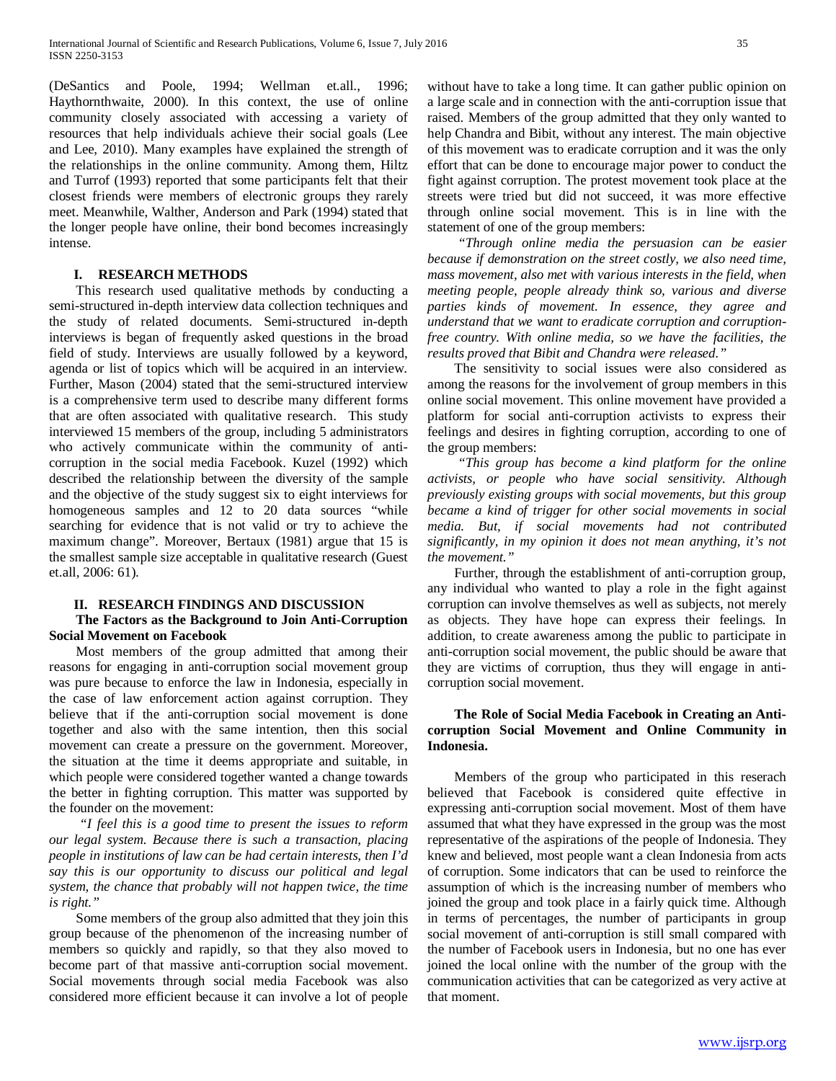(DeSantics and Poole, 1994; Wellman et.all., 1996; Haythornthwaite, 2000). In this context, the use of online community closely associated with accessing a variety of resources that help individuals achieve their social goals (Lee and Lee, 2010). Many examples have explained the strength of the relationships in the online community. Among them, Hiltz and Turrof (1993) reported that some participants felt that their closest friends were members of electronic groups they rarely meet. Meanwhile, Walther, Anderson and Park (1994) stated that the longer people have online, their bond becomes increasingly intense.

#### **I. RESEARCH METHODS**

 This research used qualitative methods by conducting a semi-structured in-depth interview data collection techniques and the study of related documents. Semi-structured in-depth interviews is began of frequently asked questions in the broad field of study. Interviews are usually followed by a keyword, agenda or list of topics which will be acquired in an interview. Further, Mason (2004) stated that the semi-structured interview is a comprehensive term used to describe many different forms that are often associated with qualitative research. This study interviewed 15 members of the group, including 5 administrators who actively communicate within the community of anticorruption in the social media Facebook. Kuzel (1992) which described the relationship between the diversity of the sample and the objective of the study suggest six to eight interviews for homogeneous samples and 12 to 20 data sources "while searching for evidence that is not valid or try to achieve the maximum change". Moreover, Bertaux (1981) argue that 15 is the smallest sample size acceptable in qualitative research (Guest et.all, 2006: 61).

#### **II. RESEARCH FINDINGS AND DISCUSSION**

## **The Factors as the Background to Join Anti-Corruption Social Movement on Facebook**

 Most members of the group admitted that among their reasons for engaging in anti-corruption social movement group was pure because to enforce the law in Indonesia, especially in the case of law enforcement action against corruption. They believe that if the anti-corruption social movement is done together and also with the same intention, then this social movement can create a pressure on the government. Moreover, the situation at the time it deems appropriate and suitable, in which people were considered together wanted a change towards the better in fighting corruption. This matter was supported by the founder on the movement:

 *"I feel this is a good time to present the issues to reform our legal system. Because there is such a transaction, placing people in institutions of law can be had certain interests, then I'd say this is our opportunity to discuss our political and legal system, the chance that probably will not happen twice, the time is right."*

 Some members of the group also admitted that they join this group because of the phenomenon of the increasing number of members so quickly and rapidly, so that they also moved to become part of that massive anti-corruption social movement. Social movements through social media Facebook was also considered more efficient because it can involve a lot of people without have to take a long time. It can gather public opinion on a large scale and in connection with the anti-corruption issue that raised. Members of the group admitted that they only wanted to help Chandra and Bibit, without any interest. The main objective of this movement was to eradicate corruption and it was the only effort that can be done to encourage major power to conduct the fight against corruption. The protest movement took place at the streets were tried but did not succeed, it was more effective through online social movement. This is in line with the statement of one of the group members:

 *"Through online media the persuasion can be easier because if demonstration on the street costly, we also need time, mass movement, also met with various interests in the field, when meeting people, people already think so, various and diverse parties kinds of movement. In essence, they agree and understand that we want to eradicate corruption and corruptionfree country. With online media, so we have the facilities, the results proved that Bibit and Chandra were released."*

 The sensitivity to social issues were also considered as among the reasons for the involvement of group members in this online social movement. This online movement have provided a platform for social anti-corruption activists to express their feelings and desires in fighting corruption, according to one of the group members:

 *"This group has become a kind platform for the online activists, or people who have social sensitivity. Although previously existing groups with social movements, but this group became a kind of trigger for other social movements in social media. But, if social movements had not contributed significantly, in my opinion it does not mean anything, it's not the movement."*

 Further, through the establishment of anti-corruption group, any individual who wanted to play a role in the fight against corruption can involve themselves as well as subjects, not merely as objects. They have hope can express their feelings. In addition, to create awareness among the public to participate in anti-corruption social movement, the public should be aware that they are victims of corruption, thus they will engage in anticorruption social movement.

## **The Role of Social Media Facebook in Creating an Anticorruption Social Movement and Online Community in Indonesia.**

 Members of the group who participated in this reserach believed that Facebook is considered quite effective in expressing anti-corruption social movement. Most of them have assumed that what they have expressed in the group was the most representative of the aspirations of the people of Indonesia. They knew and believed, most people want a clean Indonesia from acts of corruption. Some indicators that can be used to reinforce the assumption of which is the increasing number of members who joined the group and took place in a fairly quick time. Although in terms of percentages, the number of participants in group social movement of anti-corruption is still small compared with the number of Facebook users in Indonesia, but no one has ever joined the local online with the number of the group with the communication activities that can be categorized as very active at that moment.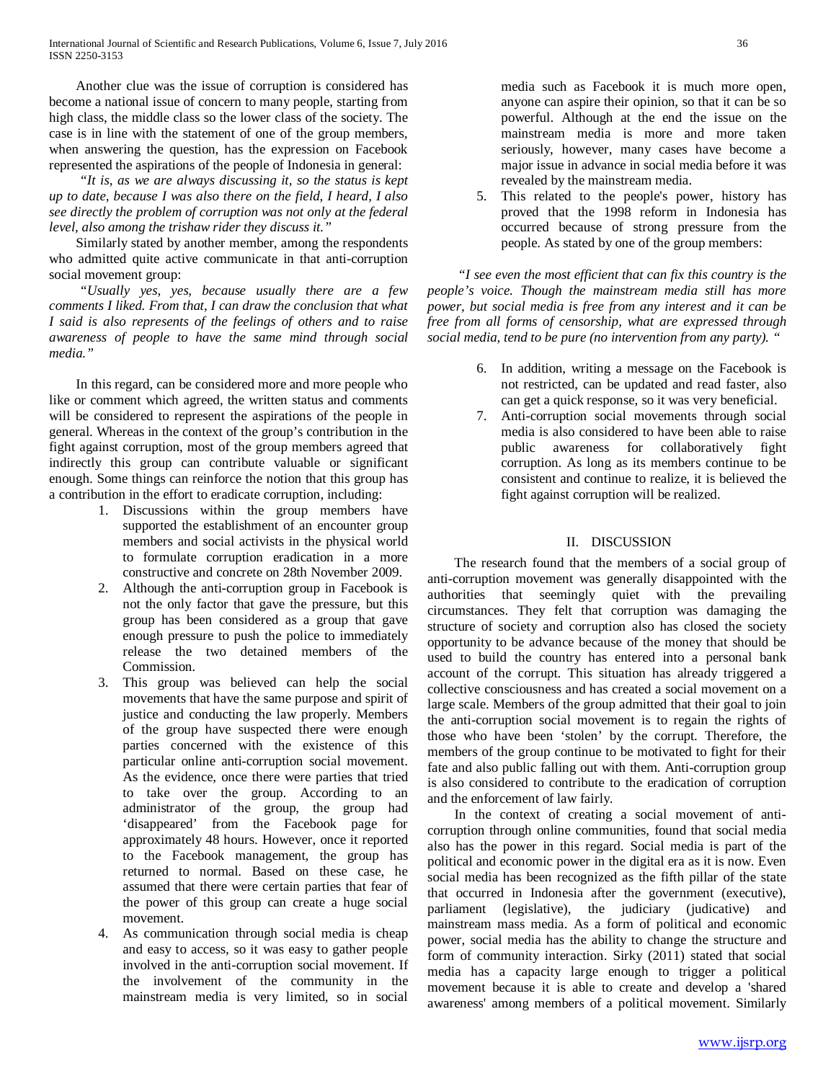Another clue was the issue of corruption is considered has become a national issue of concern to many people, starting from high class, the middle class so the lower class of the society. The case is in line with the statement of one of the group members, when answering the question, has the expression on Facebook represented the aspirations of the people of Indonesia in general:

 *"It is, as we are always discussing it, so the status is kept up to date, because I was also there on the field, I heard, I also see directly the problem of corruption was not only at the federal level, also among the trishaw rider they discuss it."*

 Similarly stated by another member, among the respondents who admitted quite active communicate in that anti-corruption social movement group:

 *"Usually yes, yes, because usually there are a few comments I liked. From that, I can draw the conclusion that what I said is also represents of the feelings of others and to raise awareness of people to have the same mind through social media."*

 In this regard, can be considered more and more people who like or comment which agreed, the written status and comments will be considered to represent the aspirations of the people in general. Whereas in the context of the group's contribution in the fight against corruption, most of the group members agreed that indirectly this group can contribute valuable or significant enough. Some things can reinforce the notion that this group has a contribution in the effort to eradicate corruption, including:

- 1. Discussions within the group members have supported the establishment of an encounter group members and social activists in the physical world to formulate corruption eradication in a more constructive and concrete on 28th November 2009.
- 2. Although the anti-corruption group in Facebook is not the only factor that gave the pressure, but this group has been considered as a group that gave enough pressure to push the police to immediately release the two detained members of the Commission.
- 3. This group was believed can help the social movements that have the same purpose and spirit of justice and conducting the law properly. Members of the group have suspected there were enough parties concerned with the existence of this particular online anti-corruption social movement. As the evidence, once there were parties that tried to take over the group. According to an administrator of the group, the group had 'disappeared' from the Facebook page for approximately 48 hours. However, once it reported to the Facebook management, the group has returned to normal. Based on these case, he assumed that there were certain parties that fear of the power of this group can create a huge social movement.
- 4. As communication through social media is cheap and easy to access, so it was easy to gather people involved in the anti-corruption social movement. If the involvement of the community in the mainstream media is very limited, so in social

media such as Facebook it is much more open, anyone can aspire their opinion, so that it can be so powerful. Although at the end the issue on the mainstream media is more and more taken seriously, however, many cases have become a major issue in advance in social media before it was revealed by the mainstream media.

5. This related to the people's power, history has proved that the 1998 reform in Indonesia has occurred because of strong pressure from the people. As stated by one of the group members:

 *"I see even the most efficient that can fix this country is the people's voice. Though the mainstream media still has more power, but social media is free from any interest and it can be free from all forms of censorship, what are expressed through social media, tend to be pure (no intervention from any party). "*

- 6. In addition, writing a message on the Facebook is not restricted, can be updated and read faster, also can get a quick response, so it was very beneficial.
- 7. Anti-corruption social movements through social media is also considered to have been able to raise public awareness for collaboratively fight corruption. As long as its members continue to be consistent and continue to realize, it is believed the fight against corruption will be realized.

## II. DISCUSSION

 The research found that the members of a social group of anti-corruption movement was generally disappointed with the authorities that seemingly quiet with the prevailing circumstances. They felt that corruption was damaging the structure of society and corruption also has closed the society opportunity to be advance because of the money that should be used to build the country has entered into a personal bank account of the corrupt. This situation has already triggered a collective consciousness and has created a social movement on a large scale. Members of the group admitted that their goal to join the anti-corruption social movement is to regain the rights of those who have been 'stolen' by the corrupt. Therefore, the members of the group continue to be motivated to fight for their fate and also public falling out with them. Anti-corruption group is also considered to contribute to the eradication of corruption and the enforcement of law fairly.

 In the context of creating a social movement of anticorruption through online communities, found that social media also has the power in this regard. Social media is part of the political and economic power in the digital era as it is now. Even social media has been recognized as the fifth pillar of the state that occurred in Indonesia after the government (executive), parliament (legislative), the judiciary (judicative) and mainstream mass media. As a form of political and economic power, social media has the ability to change the structure and form of community interaction. Sirky (2011) stated that social media has a capacity large enough to trigger a political movement because it is able to create and develop a 'shared awareness' among members of a political movement. Similarly